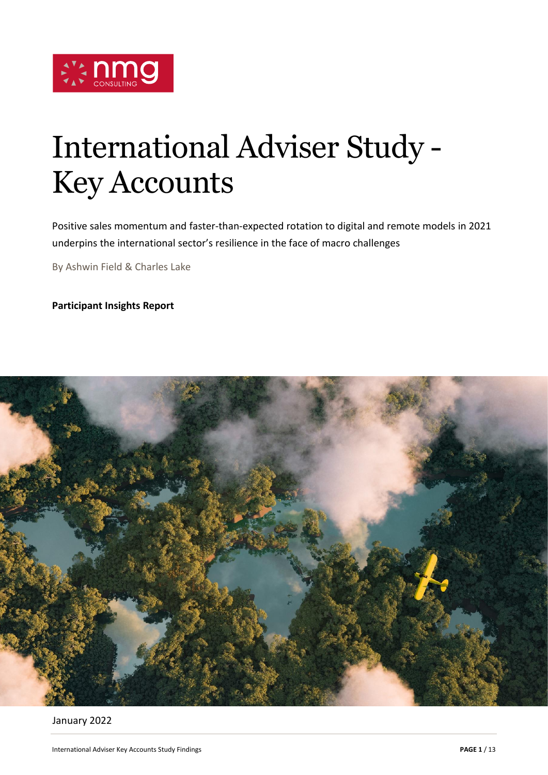

# International Adviser Study - Key Accounts

Positive sales momentum and faster-than-expected rotation to digital and remote models in 2021 underpins the international sector's resilience in the face of macro challenges

By Ashwin Field & Charles Lake

**Participant Insights Report**



January 2022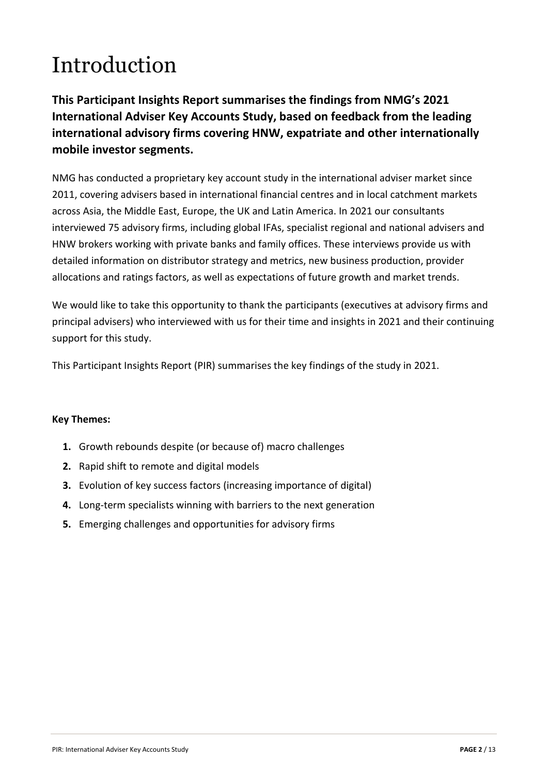# Introduction

**This Participant Insights Report summarises the findings from NMG's 2021 International Adviser Key Accounts Study, based on feedback from the leading international advisory firms covering HNW, expatriate and other internationally mobile investor segments.**

NMG has conducted a proprietary key account study in the international adviser market since 2011, covering advisers based in international financial centres and in local catchment markets across Asia, the Middle East, Europe, the UK and Latin America. In 2021 our consultants interviewed 75 advisory firms, including global IFAs, specialist regional and national advisers and HNW brokers working with private banks and family offices. These interviews provide us with detailed information on distributor strategy and metrics, new business production, provider allocations and ratings factors, as well as expectations of future growth and market trends.

We would like to take this opportunity to thank the participants (executives at advisory firms and principal advisers) who interviewed with us for their time and insights in 2021 and their continuing support for this study.

This Participant Insights Report (PIR) summarises the key findings of the study in 2021.

#### **Key Themes:**

- **1.** Growth rebounds despite (or because of) macro challenges
- **2.** Rapid shift to remote and digital models
- **3.** Evolution of key success factors (increasing importance of digital)
- **4.** Long-term specialists winning with barriers to the next generation
- **5.** Emerging challenges and opportunities for advisory firms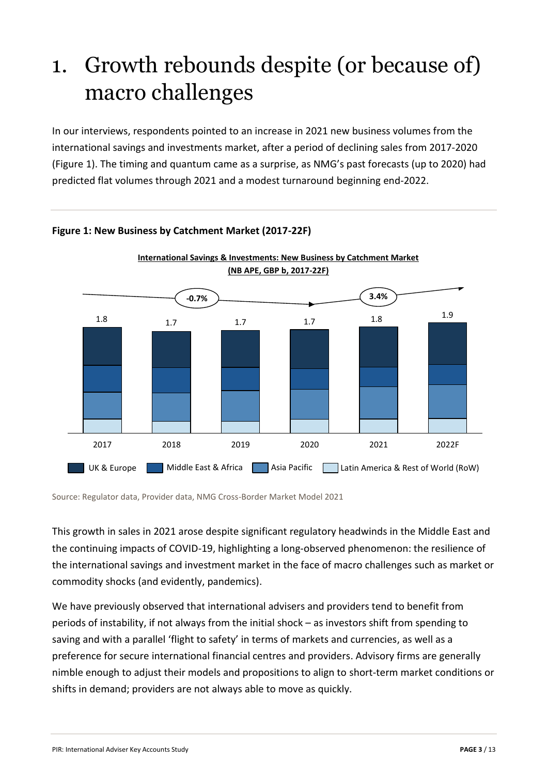### 1. Growth rebounds despite (or because of) macro challenges

In our interviews, respondents pointed to an increase in 2021 new business volumes from the international savings and investments market, after a period of declining sales from 2017-2020 (Figure 1). The timing and quantum came as a surprise, as NMG's past forecasts (up to 2020) had predicted flat volumes through 2021 and a modest turnaround beginning end-2022.



### **Figure 1: New Business by Catchment Market (2017-22F)**

Source: Regulator data, Provider data, NMG Cross-Border Market Model 2021

This growth in sales in 2021 arose despite significant regulatory headwinds in the Middle East and the continuing impacts of COVID-19, highlighting a long-observed phenomenon: the resilience of the international savings and investment market in the face of macro challenges such as market or commodity shocks (and evidently, pandemics).

We have previously observed that international advisers and providers tend to benefit from periods of instability, if not always from the initial shock – as investors shift from spending to saving and with a parallel 'flight to safety' in terms of markets and currencies, as well as a preference for secure international financial centres and providers. Advisory firms are generally nimble enough to adjust their models and propositions to align to short-term market conditions or shifts in demand; providers are not always able to move as quickly.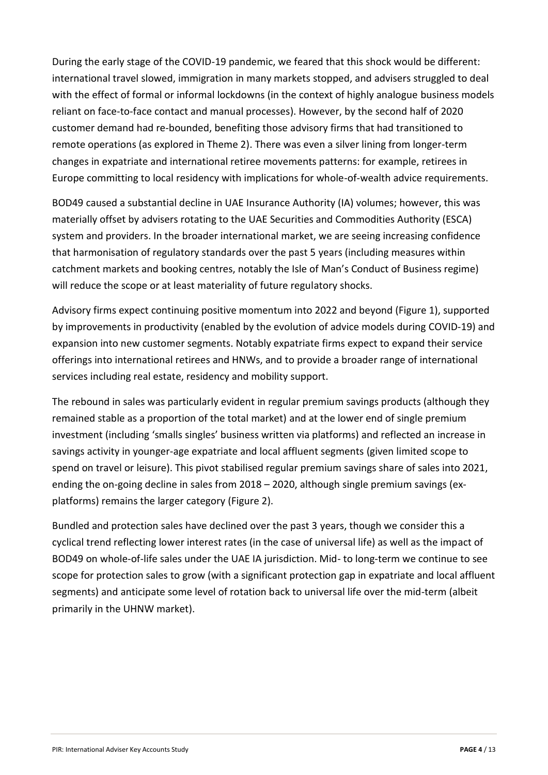During the early stage of the COVID-19 pandemic, we feared that this shock would be different: international travel slowed, immigration in many markets stopped, and advisers struggled to deal with the effect of formal or informal lockdowns (in the context of highly analogue business models reliant on face-to-face contact and manual processes). However, by the second half of 2020 customer demand had re-bounded, benefiting those advisory firms that had transitioned to remote operations (as explored in Theme 2). There was even a silver lining from longer-term changes in expatriate and international retiree movements patterns: for example, retirees in Europe committing to local residency with implications for whole-of-wealth advice requirements.

BOD49 caused a substantial decline in UAE Insurance Authority (IA) volumes; however, this was materially offset by advisers rotating to the UAE Securities and Commodities Authority (ESCA) system and providers. In the broader international market, we are seeing increasing confidence that harmonisation of regulatory standards over the past 5 years (including measures within catchment markets and booking centres, notably the Isle of Man's Conduct of Business regime) will reduce the scope or at least materiality of future regulatory shocks.

Advisory firms expect continuing positive momentum into 2022 and beyond (Figure 1), supported by improvements in productivity (enabled by the evolution of advice models during COVID-19) and expansion into new customer segments. Notably expatriate firms expect to expand their service offerings into international retirees and HNWs, and to provide a broader range of international services including real estate, residency and mobility support.

The rebound in sales was particularly evident in regular premium savings products (although they remained stable as a proportion of the total market) and at the lower end of single premium investment (including 'smalls singles' business written via platforms) and reflected an increase in savings activity in younger-age expatriate and local affluent segments (given limited scope to spend on travel or leisure). This pivot stabilised regular premium savings share of sales into 2021, ending the on-going decline in sales from 2018 – 2020, although single premium savings (explatforms) remains the larger category (Figure 2).

Bundled and protection sales have declined over the past 3 years, though we consider this a cyclical trend reflecting lower interest rates (in the case of universal life) as well as the impact of BOD49 on whole-of-life sales under the UAE IA jurisdiction. Mid- to long-term we continue to see scope for protection sales to grow (with a significant protection gap in expatriate and local affluent segments) and anticipate some level of rotation back to universal life over the mid-term (albeit primarily in the UHNW market).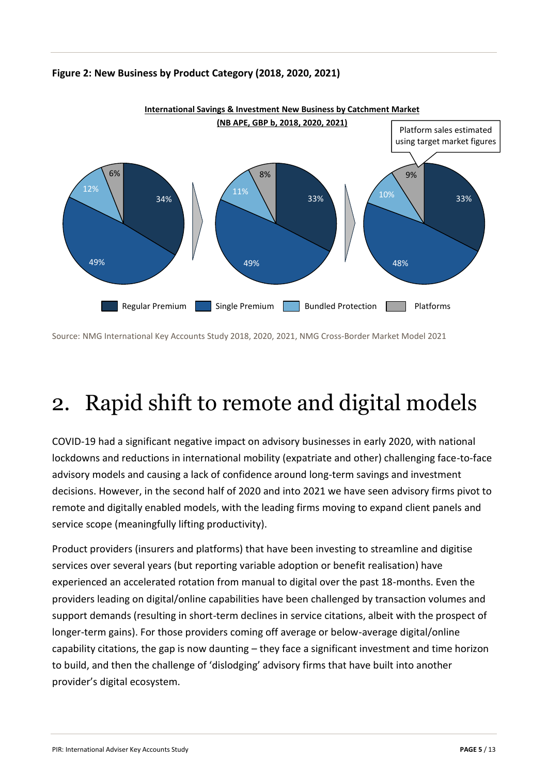

#### **Figure 2: New Business by Product Category (2018, 2020, 2021)**

Source: NMG International Key Accounts Study 2018, 2020, 2021, NMG Cross-Border Market Model 2021

## 2. Rapid shift to remote and digital models

COVID-19 had a significant negative impact on advisory businesses in early 2020, with national lockdowns and reductions in international mobility (expatriate and other) challenging face-to-face advisory models and causing a lack of confidence around long-term savings and investment decisions. However, in the second half of 2020 and into 2021 we have seen advisory firms pivot to remote and digitally enabled models, with the leading firms moving to expand client panels and service scope (meaningfully lifting productivity).

Product providers (insurers and platforms) that have been investing to streamline and digitise services over several years (but reporting variable adoption or benefit realisation) have experienced an accelerated rotation from manual to digital over the past 18-months. Even the providers leading on digital/online capabilities have been challenged by transaction volumes and support demands (resulting in short-term declines in service citations, albeit with the prospect of longer-term gains). For those providers coming off average or below-average digital/online capability citations, the gap is now daunting – they face a significant investment and time horizon to build, and then the challenge of 'dislodging' advisory firms that have built into another provider's digital ecosystem.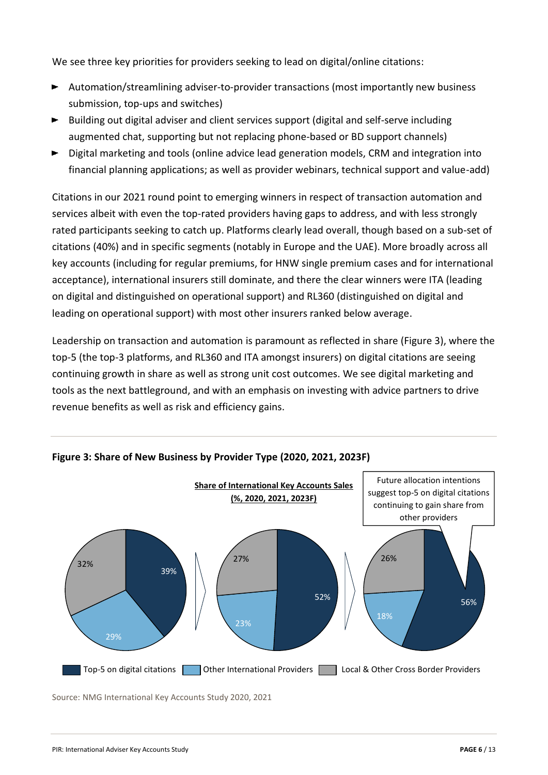We see three key priorities for providers seeking to lead on digital/online citations:

- Automation/streamlining adviser-to-provider transactions (most importantly new business submission, top-ups and switches)
- Building out digital adviser and client services support (digital and self-serve including augmented chat, supporting but not replacing phone-based or BD support channels)
- ► Digital marketing and tools (online advice lead generation models, CRM and integration into financial planning applications; as well as provider webinars, technical support and value-add)

Citations in our 2021 round point to emerging winners in respect of transaction automation and services albeit with even the top-rated providers having gaps to address, and with less strongly rated participants seeking to catch up. Platforms clearly lead overall, though based on a sub-set of citations (40%) and in specific segments (notably in Europe and the UAE). More broadly across all key accounts (including for regular premiums, for HNW single premium cases and for international acceptance), international insurers still dominate, and there the clear winners were ITA (leading on digital and distinguished on operational support) and RL360 (distinguished on digital and leading on operational support) with most other insurers ranked below average.

Leadership on transaction and automation is paramount as reflected in share (Figure 3), where the top-5 (the top-3 platforms, and RL360 and ITA amongst insurers) on digital citations are seeing continuing growth in share as well as strong unit cost outcomes. We see digital marketing and tools as the next battleground, and with an emphasis on investing with advice partners to drive revenue benefits as well as risk and efficiency gains.



**Figure 3: Share of New Business by Provider Type (2020, 2021, 2023F)**

Source: NMG International Key Accounts Study 2020, 2021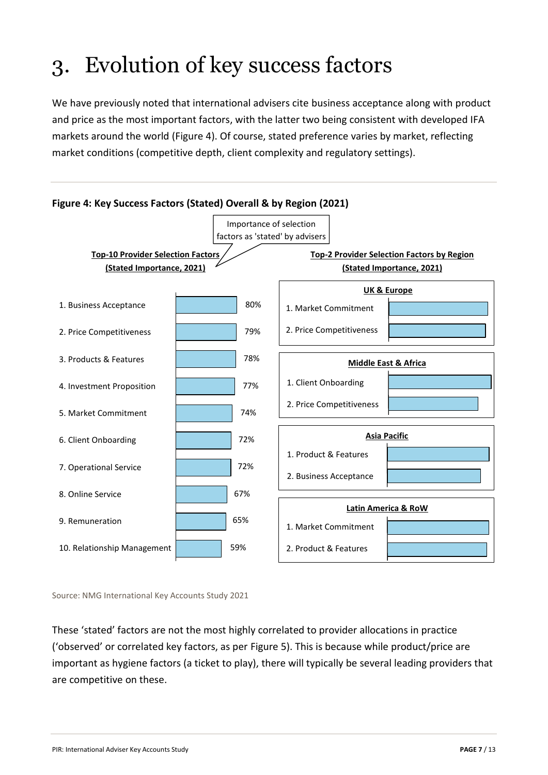# 3. Evolution of key success factors

We have previously noted that international advisers cite business acceptance along with product and price as the most important factors, with the latter two being consistent with developed IFA markets around the world (Figure 4). Of course, stated preference varies by market, reflecting market conditions (competitive depth, client complexity and regulatory settings).



Source: NMG International Key Accounts Study 2021

These 'stated' factors are not the most highly correlated to provider allocations in practice ('observed' or correlated key factors, as per Figure 5). This is because while product/price are important as hygiene factors (a ticket to play), there will typically be several leading providers that are competitive on these.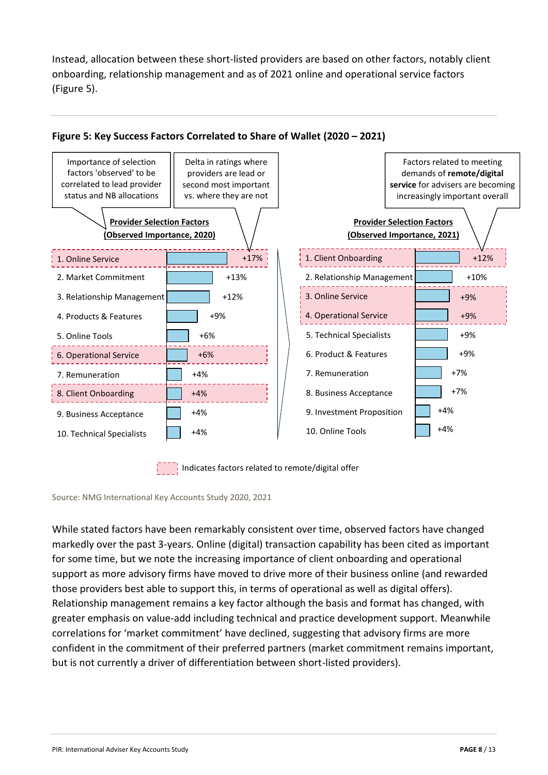Instead, allocation between these short-listed providers are based on other factors, notably client onboarding, relationship management and as of 2021 online and operational service factors (Figure 5).



### **Figure 5: Key Success Factors Correlated to Share of Wallet (2020 – 2021)**

Indicates factors related to remote/digital offer

Source: NMG International Key Accounts Study 2020, 2021

While stated factors have been remarkably consistent over time, observed factors have changed markedly over the past 3-years. Online (digital) transaction capability has been cited as important for some time, but we note the increasing importance of client onboarding and operational support as more advisory firms have moved to drive more of their business online (and rewarded those providers best able to support this, in terms of operational as well as digital offers). Relationship management remains a key factor although the basis and format has changed, with greater emphasis on value-add including technical and practice development support. Meanwhile correlations for 'market commitment' have declined, suggesting that advisory firms are more confident in the commitment of their preferred partners (market commitment remains important, but is not currently a driver of differentiation between short-listed providers).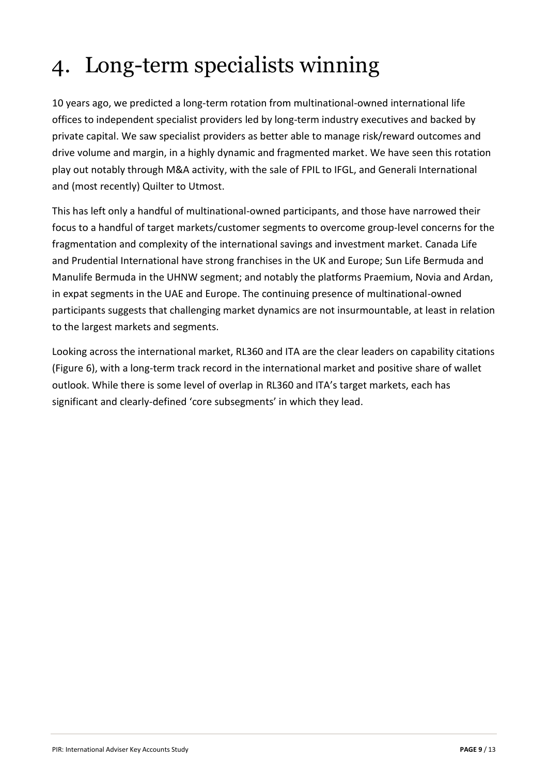# 4. Long-term specialists winning

10 years ago, we predicted a long-term rotation from multinational-owned international life offices to independent specialist providers led by long-term industry executives and backed by private capital. We saw specialist providers as better able to manage risk/reward outcomes and drive volume and margin, in a highly dynamic and fragmented market. We have seen this rotation play out notably through M&A activity, with the sale of FPIL to IFGL, and Generali International and (most recently) Quilter to Utmost.

This has left only a handful of multinational-owned participants, and those have narrowed their focus to a handful of target markets/customer segments to overcome group-level concerns for the fragmentation and complexity of the international savings and investment market. Canada Life and Prudential International have strong franchises in the UK and Europe; Sun Life Bermuda and Manulife Bermuda in the UHNW segment; and notably the platforms Praemium, Novia and Ardan, in expat segments in the UAE and Europe. The continuing presence of multinational-owned participants suggests that challenging market dynamics are not insurmountable, at least in relation to the largest markets and segments.

Looking across the international market, RL360 and ITA are the clear leaders on capability citations (Figure 6), with a long-term track record in the international market and positive share of wallet outlook. While there is some level of overlap in RL360 and ITA's target markets, each has significant and clearly-defined 'core subsegments' in which they lead.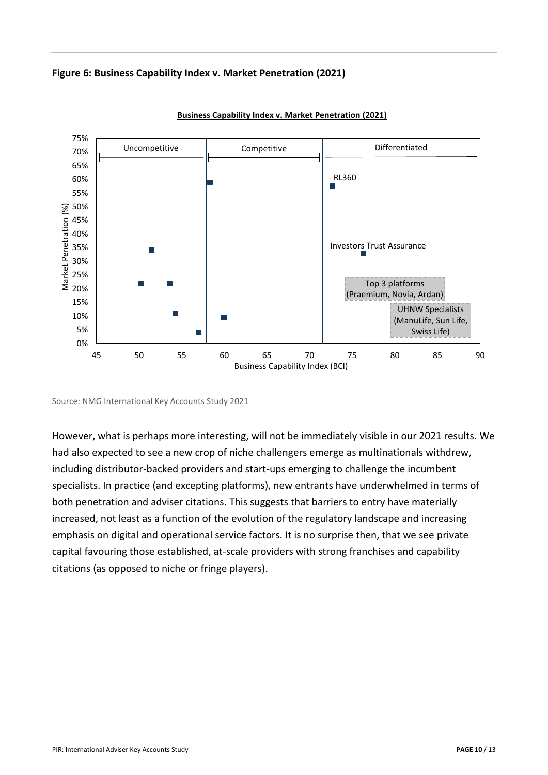



**Business Capability Index v. Market Penetration (2021)**

Source: NMG International Key Accounts Study 2021

However, what is perhaps more interesting, will not be immediately visible in our 2021 results. We had also expected to see a new crop of niche challengers emerge as multinationals withdrew, including distributor-backed providers and start-ups emerging to challenge the incumbent specialists. In practice (and excepting platforms), new entrants have underwhelmed in terms of both penetration and adviser citations. This suggests that barriers to entry have materially increased, not least as a function of the evolution of the regulatory landscape and increasing emphasis on digital and operational service factors. It is no surprise then, that we see private capital favouring those established, at-scale providers with strong franchises and capability citations (as opposed to niche or fringe players).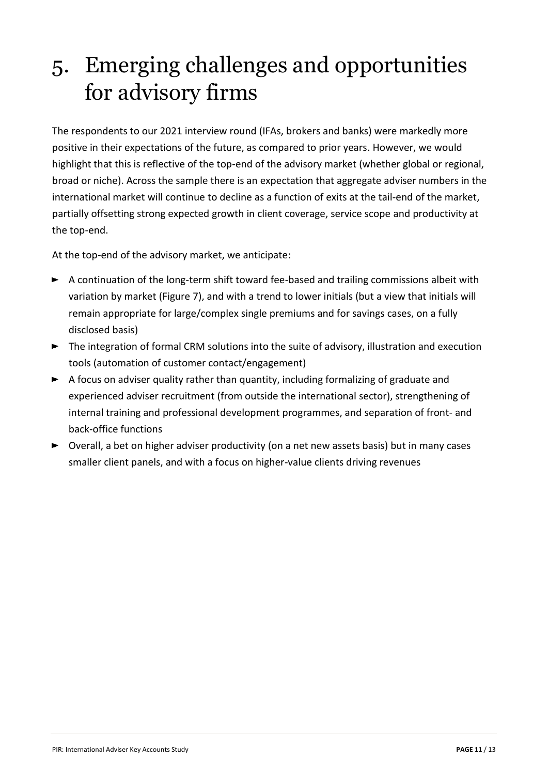### 5. Emerging challenges and opportunities for advisory firms

The respondents to our 2021 interview round (IFAs, brokers and banks) were markedly more positive in their expectations of the future, as compared to prior years. However, we would highlight that this is reflective of the top-end of the advisory market (whether global or regional, broad or niche). Across the sample there is an expectation that aggregate adviser numbers in the international market will continue to decline as a function of exits at the tail-end of the market, partially offsetting strong expected growth in client coverage, service scope and productivity at the top-end.

At the top-end of the advisory market, we anticipate:

- A continuation of the long-term shift toward fee-based and trailing commissions albeit with variation by market (Figure 7), and with a trend to lower initials (but a view that initials will remain appropriate for large/complex single premiums and for savings cases, on a fully disclosed basis)
- ► The integration of formal CRM solutions into the suite of advisory, illustration and execution tools (automation of customer contact/engagement)
- $\blacktriangleright$  A focus on adviser quality rather than quantity, including formalizing of graduate and experienced adviser recruitment (from outside the international sector), strengthening of internal training and professional development programmes, and separation of front- and back-office functions
- $\triangleright$  Overall, a bet on higher adviser productivity (on a net new assets basis) but in many cases smaller client panels, and with a focus on higher-value clients driving revenues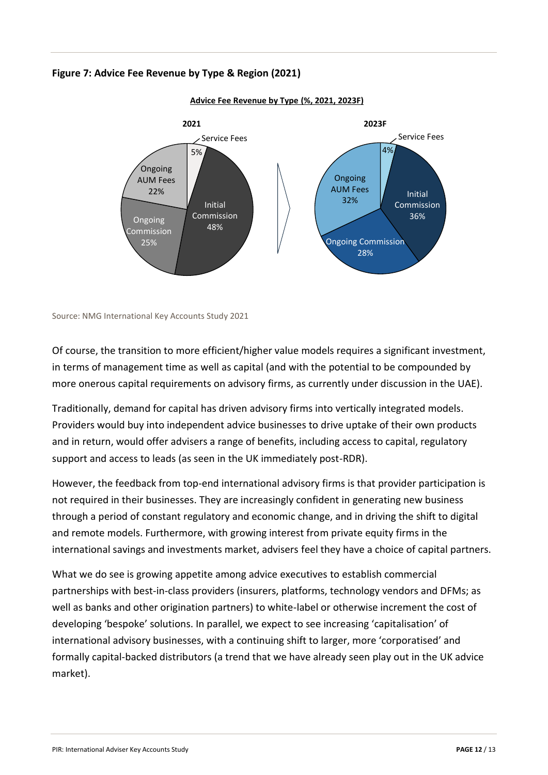### **Figure 7: Advice Fee Revenue by Type & Region (2021)**



**Advice Fee Revenue by Type (%, 2021, 2023F)**

Source: NMG International Key Accounts Study 2021

Of course, the transition to more efficient/higher value models requires a significant investment, in terms of management time as well as capital (and with the potential to be compounded by more onerous capital requirements on advisory firms, as currently under discussion in the UAE).

Traditionally, demand for capital has driven advisory firms into vertically integrated models. Providers would buy into independent advice businesses to drive uptake of their own products and in return, would offer advisers a range of benefits, including access to capital, regulatory support and access to leads (as seen in the UK immediately post-RDR).

However, the feedback from top-end international advisory firms is that provider participation is not required in their businesses. They are increasingly confident in generating new business through a period of constant regulatory and economic change, and in driving the shift to digital and remote models. Furthermore, with growing interest from private equity firms in the international savings and investments market, advisers feel they have a choice of capital partners.

What we do see is growing appetite among advice executives to establish commercial partnerships with best-in-class providers (insurers, platforms, technology vendors and DFMs; as well as banks and other origination partners) to white-label or otherwise increment the cost of developing 'bespoke' solutions. In parallel, we expect to see increasing 'capitalisation' of international advisory businesses, with a continuing shift to larger, more 'corporatised' and formally capital-backed distributors (a trend that we have already seen play out in the UK advice market).